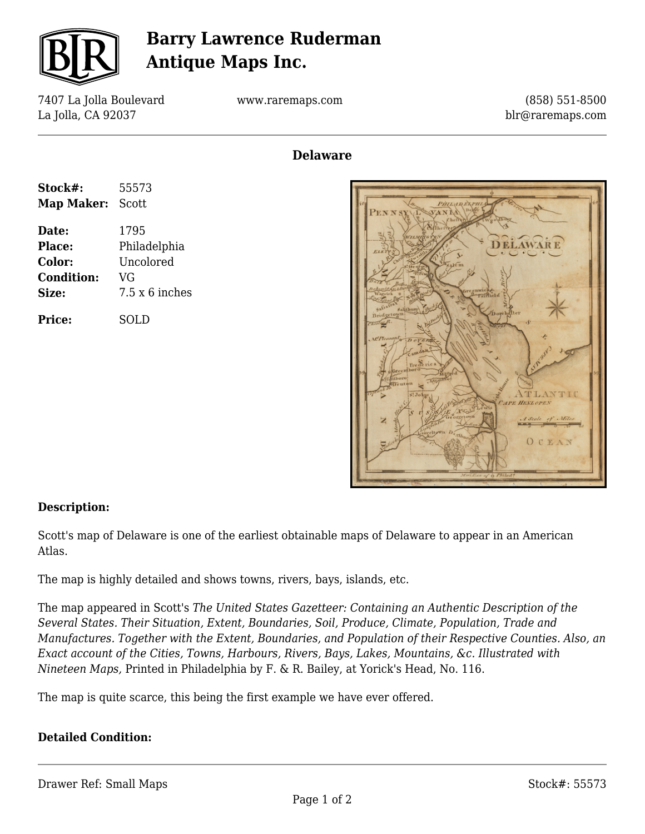

## **Barry Lawrence Ruderman Antique Maps Inc.**

7407 La Jolla Boulevard La Jolla, CA 92037

www.raremaps.com

(858) 551-8500 blr@raremaps.com

### **Delaware**

| Stock#:           | 55573          |
|-------------------|----------------|
| Map Maker:        | Scott          |
| Date:             | 1795           |
| Place:            | Philadelphia   |
| <b>Color:</b>     | Uncolored      |
| <b>Condition:</b> | VG             |
| Size:             | 7.5 x 6 inches |
| <b>Price:</b>     | SOLD           |



#### **Description:**

Scott's map of Delaware is one of the earliest obtainable maps of Delaware to appear in an American Atlas.

The map is highly detailed and shows towns, rivers, bays, islands, etc.

The map appeared in Scott's *The United States Gazetteer: Containing an Authentic Description of the Several States. Their Situation, Extent, Boundaries, Soil, Produce, Climate, Population, Trade and Manufactures. Together with the Extent, Boundaries, and Population of their Respective Counties. Also, an Exact account of the Cities, Towns, Harbours, Rivers, Bays, Lakes, Mountains, &c. Illustrated with Nineteen Maps,* Printed in Philadelphia by F. & R. Bailey, at Yorick's Head, No. 116.

The map is quite scarce, this being the first example we have ever offered.

#### **Detailed Condition:**